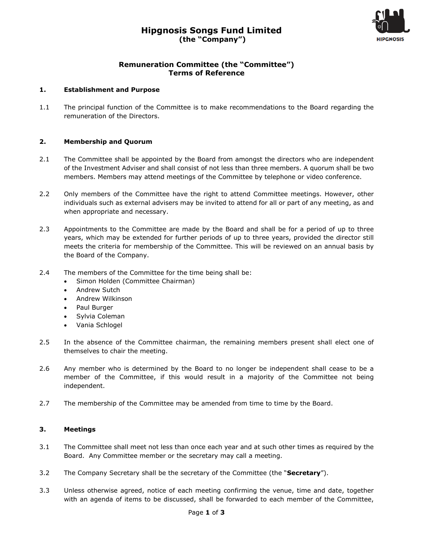# **Hipgnosis Songs Fund Limited (the "Company")**



### **Remuneration Committee (the "Committee") Terms of Reference**

#### **1. Establishment and Purpose**

1.1 The principal function of the Committee is to make recommendations to the Board regarding the remuneration of the Directors.

#### **2. Membership and Quorum**

- 2.1 The Committee shall be appointed by the Board from amongst the directors who are independent of the Investment Adviser and shall consist of not less than three members. A quorum shall be two members. Members may attend meetings of the Committee by telephone or video conference.
- 2.2 Only members of the Committee have the right to attend Committee meetings. However, other individuals such as external advisers may be invited to attend for all or part of any meeting, as and when appropriate and necessary.
- 2.3 Appointments to the Committee are made by the Board and shall be for a period of up to three years, which may be extended for further periods of up to three years, provided the director still meets the criteria for membership of the Committee. This will be reviewed on an annual basis by the Board of the Company.
- 2.4 The members of the Committee for the time being shall be:
	- Simon Holden (Committee Chairman)
	- Andrew Sutch
	- Andrew Wilkinson
	- Paul Burger
	- Sylvia Coleman
	- Vania Schlogel
- 2.5 In the absence of the Committee chairman, the remaining members present shall elect one of themselves to chair the meeting.
- 2.6 Any member who is determined by the Board to no longer be independent shall cease to be a member of the Committee, if this would result in a majority of the Committee not being independent.
- 2.7 The membership of the Committee may be amended from time to time by the Board.

#### **3. Meetings**

- 3.1 The Committee shall meet not less than once each year and at such other times as required by the Board. Any Committee member or the secretary may call a meeting.
- 3.2 The Company Secretary shall be the secretary of the Committee (the "**Secretary**").
- 3.3 Unless otherwise agreed, notice of each meeting confirming the venue, time and date, together with an agenda of items to be discussed, shall be forwarded to each member of the Committee,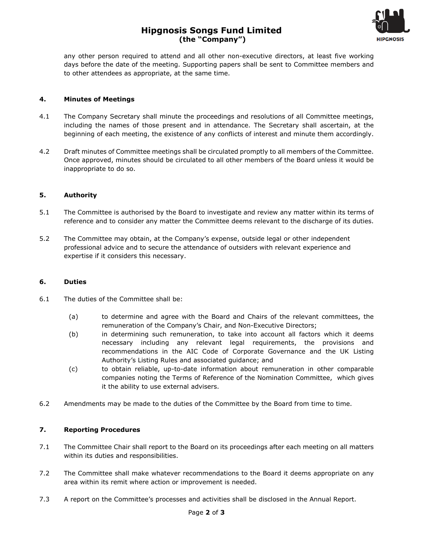## **Hipgnosis Songs Fund Limited (the "Company")**



any other person required to attend and all other non-executive directors, at least five working days before the date of the meeting. Supporting papers shall be sent to Committee members and to other attendees as appropriate, at the same time.

#### **4. Minutes of Meetings**

- 4.1 The Company Secretary shall minute the proceedings and resolutions of all Committee meetings, including the names of those present and in attendance. The Secretary shall ascertain, at the beginning of each meeting, the existence of any conflicts of interest and minute them accordingly.
- 4.2 Draft minutes of Committee meetings shall be circulated promptly to all members of the Committee. Once approved, minutes should be circulated to all other members of the Board unless it would be inappropriate to do so.

#### **5. Authority**

- 5.1 The Committee is authorised by the Board to investigate and review any matter within its terms of reference and to consider any matter the Committee deems relevant to the discharge of its duties.
- 5.2 The Committee may obtain, at the Company's expense, outside legal or other independent professional advice and to secure the attendance of outsiders with relevant experience and expertise if it considers this necessary.

#### **6. Duties**

- 6.1 The duties of the Committee shall be:
	- (a) to determine and agree with the Board and Chairs of the relevant committees, the remuneration of the Company's Chair, and Non-Executive Directors;
	- (b) in determining such remuneration, to take into account all factors which it deems necessary including any relevant legal requirements, the provisions and recommendations in the AIC Code of Corporate Governance and the UK Listing Authority's Listing Rules and associated guidance; and
	- (c) to obtain reliable, up-to-date information about remuneration in other comparable companies noting the Terms of Reference of the Nomination Committee, which gives it the ability to use external advisers.
- 6.2 Amendments may be made to the duties of the Committee by the Board from time to time.

#### **7. Reporting Procedures**

- 7.1 The Committee Chair shall report to the Board on its proceedings after each meeting on all matters within its duties and responsibilities.
- 7.2 The Committee shall make whatever recommendations to the Board it deems appropriate on any area within its remit where action or improvement is needed.
- 7.3 A report on the Committee's processes and activities shall be disclosed in the Annual Report.